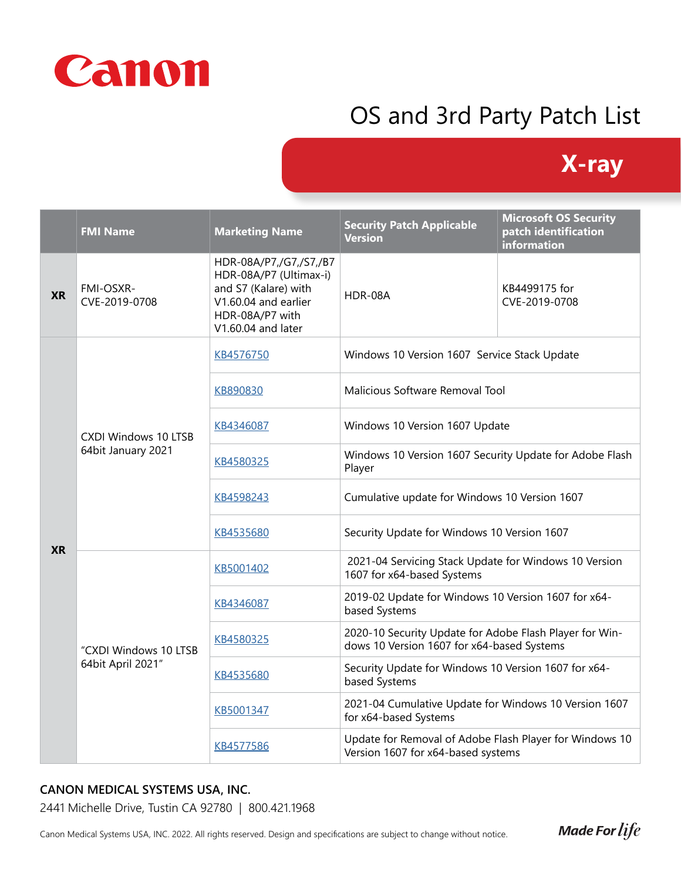

# OS and 3rd Party Patch List

## **X-ray**

|           | <b>FMI Name</b>                                   | <b>Marketing Name</b>                                                                                                                     | <b>Security Patch Applicable</b><br>Version                                                           | <b>Microsoft OS Security</b><br>patch identification<br>information |
|-----------|---------------------------------------------------|-------------------------------------------------------------------------------------------------------------------------------------------|-------------------------------------------------------------------------------------------------------|---------------------------------------------------------------------|
| <b>XR</b> | FMI-OSXR-<br>CVE-2019-0708                        | HDR-08A/P7,/G7,/S7,/B7<br>HDR-08A/P7 (Ultimax-i)<br>and S7 (Kalare) with<br>V1.60.04 and earlier<br>HDR-08A/P7 with<br>V1.60.04 and later | HDR-08A                                                                                               | KB4499175 for<br>CVE-2019-0708                                      |
| <b>XR</b> | <b>CXDI Windows 10 LTSB</b><br>64bit January 2021 | KB4576750                                                                                                                                 | Windows 10 Version 1607 Service Stack Update                                                          |                                                                     |
|           |                                                   | KB890830                                                                                                                                  | Malicious Software Removal Tool                                                                       |                                                                     |
|           |                                                   | KB4346087                                                                                                                                 | Windows 10 Version 1607 Update                                                                        |                                                                     |
|           |                                                   | KB4580325                                                                                                                                 | Windows 10 Version 1607 Security Update for Adobe Flash<br>Player                                     |                                                                     |
|           |                                                   | KB4598243                                                                                                                                 | Cumulative update for Windows 10 Version 1607                                                         |                                                                     |
|           |                                                   | KB4535680                                                                                                                                 | Security Update for Windows 10 Version 1607                                                           |                                                                     |
|           | "CXDI Windows 10 LTSB<br>64bit April 2021"        | KB5001402                                                                                                                                 | 2021-04 Servicing Stack Update for Windows 10 Version<br>1607 for x64-based Systems                   |                                                                     |
|           |                                                   | KB4346087                                                                                                                                 | 2019-02 Update for Windows 10 Version 1607 for x64-<br>based Systems                                  |                                                                     |
|           |                                                   | KB4580325                                                                                                                                 | 2020-10 Security Update for Adobe Flash Player for Win-<br>dows 10 Version 1607 for x64-based Systems |                                                                     |
|           |                                                   | KB4535680                                                                                                                                 | Security Update for Windows 10 Version 1607 for x64-<br>based Systems                                 |                                                                     |
|           |                                                   | KB5001347                                                                                                                                 | 2021-04 Cumulative Update for Windows 10 Version 1607<br>for x64-based Systems                        |                                                                     |
|           |                                                   | KB4577586                                                                                                                                 | Update for Removal of Adobe Flash Player for Windows 10<br>Version 1607 for x64-based systems         |                                                                     |

### **CANON MEDICAL SYSTEMS USA, INC.**

2441 Michelle Drive, Tustin CA 92780 | 800.421.1968

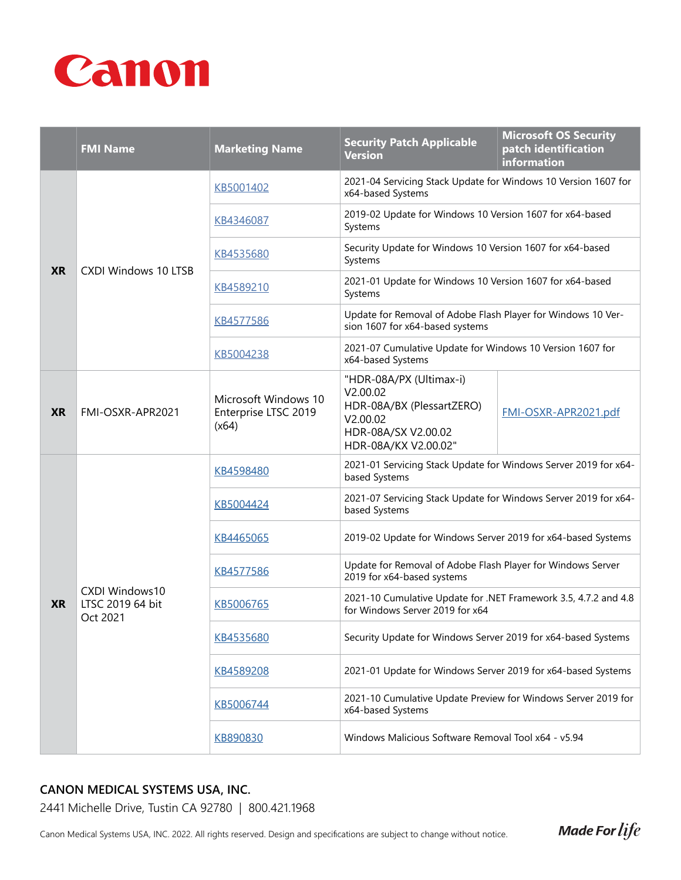

|           | <b>FMI Name</b>                                | <b>Marketing Name</b>                                 | <b>Security Patch Applicable</b><br><b>Version</b>                                                                          | <b>Microsoft OS Security</b><br>patch identification<br><i>information</i> |
|-----------|------------------------------------------------|-------------------------------------------------------|-----------------------------------------------------------------------------------------------------------------------------|----------------------------------------------------------------------------|
| <b>XR</b> | <b>CXDI Windows 10 LTSB</b>                    | KB5001402                                             | 2021-04 Servicing Stack Update for Windows 10 Version 1607 for<br>x64-based Systems                                         |                                                                            |
|           |                                                | KB4346087                                             | 2019-02 Update for Windows 10 Version 1607 for x64-based<br>Systems                                                         |                                                                            |
|           |                                                | KB4535680                                             | Security Update for Windows 10 Version 1607 for x64-based<br>Systems                                                        |                                                                            |
|           |                                                | KB4589210                                             | 2021-01 Update for Windows 10 Version 1607 for x64-based<br>Systems                                                         |                                                                            |
|           |                                                | KB4577586                                             | Update for Removal of Adobe Flash Player for Windows 10 Ver-<br>sion 1607 for x64-based systems                             |                                                                            |
|           |                                                | KB5004238                                             | 2021-07 Cumulative Update for Windows 10 Version 1607 for<br>x64-based Systems                                              |                                                                            |
| <b>XR</b> | FMI-OSXR-APR2021                               | Microsoft Windows 10<br>Enterprise LTSC 2019<br>(x64) | "HDR-08A/PX (Ultimax-i)<br>V2.00.02<br>HDR-08A/BX (PlessartZERO)<br>V2.00.02<br>HDR-08A/SX V2.00.02<br>HDR-08A/KX V2.00.02" | FMI-OSXR-APR2021.pdf                                                       |
| <b>XR</b> | CXDI Windows10<br>LTSC 2019 64 bit<br>Oct 2021 | KB4598480                                             | 2021-01 Servicing Stack Update for Windows Server 2019 for x64-<br>based Systems                                            |                                                                            |
|           |                                                | KB5004424                                             | 2021-07 Servicing Stack Update for Windows Server 2019 for x64-<br>based Systems                                            |                                                                            |
|           |                                                | KB4465065                                             | 2019-02 Update for Windows Server 2019 for x64-based Systems                                                                |                                                                            |
|           |                                                | KB4577586                                             | Update for Removal of Adobe Flash Player for Windows Server<br>2019 for x64-based systems                                   |                                                                            |
|           |                                                | KB5006765                                             | 2021-10 Cumulative Update for .NET Framework 3.5, 4.7.2 and 4.8<br>for Windows Server 2019 for x64                          |                                                                            |
|           |                                                | KB4535680                                             | Security Update for Windows Server 2019 for x64-based Systems                                                               |                                                                            |
|           |                                                | KB4589208                                             | 2021-01 Update for Windows Server 2019 for x64-based Systems                                                                |                                                                            |
|           |                                                | KB5006744                                             | 2021-10 Cumulative Update Preview for Windows Server 2019 for<br>x64-based Systems                                          |                                                                            |
|           |                                                | KB890830                                              | Windows Malicious Software Removal Tool x64 - v5.94                                                                         |                                                                            |

#### **CANON MEDICAL SYSTEMS USA, INC.**

2441 Michelle Drive, Tustin CA 92780 | 800.421.1968